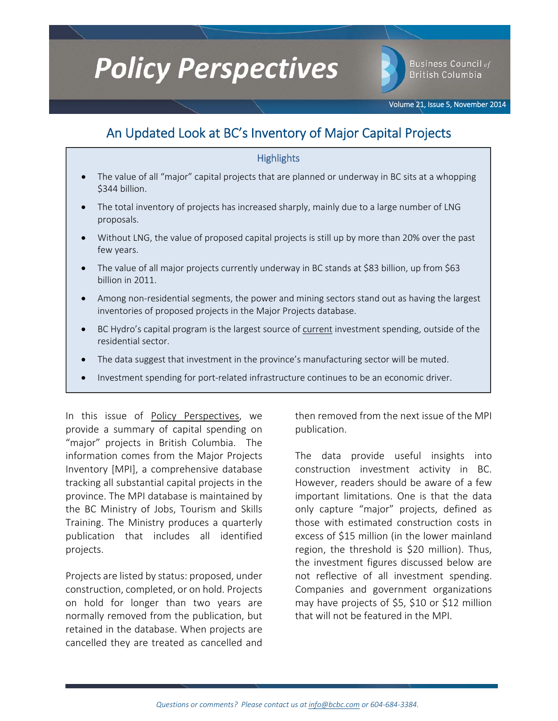# **Policy Perspectives**

**Business Council of British Columbia** 

Volume 21, Issue 5, November 2014

# An Updated Look at BC's Inventory of Major Capital Projects

# **Highlights**

- The value of all "major" capital projects that are planned or underway in BC sits at a whopping \$344 billion.
- The total inventory of projects has increased sharply, mainly due to a large number of LNG proposals.
- Without LNG, the value of proposed capital projects is still up by more than 20% over the past few years.
- The value of all major projects currently underway in BC stands at \$83 billion, up from \$63 billion in 2011.
- Among non‐residential segments, the power and mining sectors stand out as having the largest inventories of proposed projects in the Major Projects database.
- BC Hydro's capital program is the largest source of current investment spending, outside of the residential sector.
- The data suggest that investment in the province's manufacturing sector will be muted.
- Investment spending for port-related infrastructure continues to be an economic driver.

In this issue of Policy Perspectives, we provide a summary of capital spending on "major" projects in British Columbia. The information comes from the Major Projects Inventory [MPI], a comprehensive database tracking all substantial capital projects in the province. The MPI database is maintained by the BC Ministry of Jobs, Tourism and Skills Training. The Ministry produces a quarterly publication that includes all identified projects.

Projects are listed by status: proposed, under construction, completed, or on hold. Projects on hold for longer than two years are normally removed from the publication, but retained in the database. When projects are cancelled they are treated as cancelled and

then removed from the next issue of the MPI publication.

The data provide useful insights into construction investment activity in BC. However, readers should be aware of a few important limitations. One is that the data only capture "major" projects, defined as those with estimated construction costs in excess of \$15 million (in the lower mainland region, the threshold is \$20 million). Thus, the investment figures discussed below are not reflective of all investment spending. Companies and government organizations may have projects of \$5, \$10 or \$12 million that will not be featured in the MPI.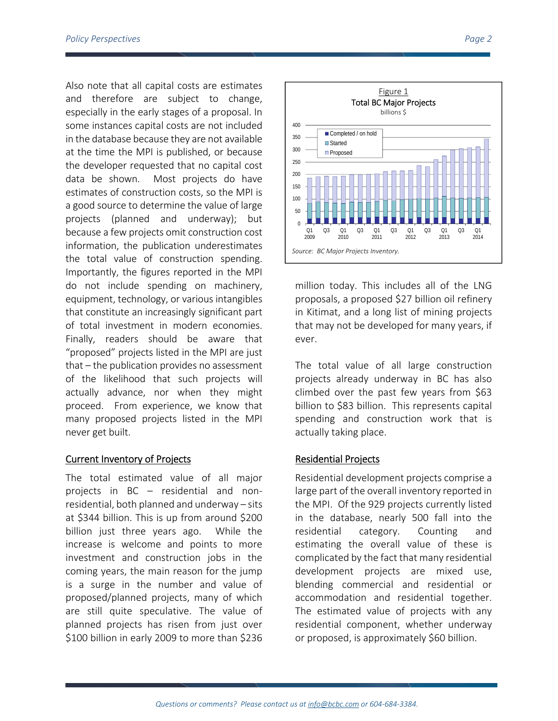Also note that all capital costs are estimates and therefore are subject to change, especially in the early stages of a proposal. In some instances capital costs are not included in the database because they are not available at the time the MPI is published, or because the developer requested that no capital cost data be shown. Most projects do have estimates of construction costs, so the MPI is a good source to determine the value of large projects (planned and underway); but because a few projects omit construction cost information, the publication underestimates the total value of construction spending. Importantly, the figures reported in the MPI do not include spending on machinery, equipment, technology, or various intangibles that constitute an increasingly significant part of total investment in modern economies. Finally, readers should be aware that "proposed" projects listed in the MPI are just that – the publication provides no assessment of the likelihood that such projects will actually advance, nor when they might proceed. From experience, we know that many proposed projects listed in the MPI never get built.

# Current Inventory of Projects

The total estimated value of all major projects in BC – residential and non‐ residential, both planned and underway – sits at \$344 billion. This is up from around \$200 billion just three years ago. While the increase is welcome and points to more investment and construction jobs in the coming years, the main reason for the jump is a surge in the number and value of proposed/planned projects, many of which are still quite speculative. The value of planned projects has risen from just over \$100 billion in early 2009 to more than \$236



million today. This includes all of the LNG proposals, a proposed \$27 billion oil refinery in Kitimat, and a long list of mining projects that may not be developed for many years, if ever.

The total value of all large construction projects already underway in BC has also climbed over the past few years from \$63 billion to \$83 billion. This represents capital spending and construction work that is actually taking place.

# Residential Projects

Residential development projects comprise a large part of the overall inventory reported in the MPI. Of the 929 projects currently listed in the database, nearly 500 fall into the residential category. Counting and estimating the overall value of these is complicated by the fact that many residential development projects are mixed use, blending commercial and residential or accommodation and residential together. The estimated value of projects with any residential component, whether underway or proposed, is approximately \$60 billion.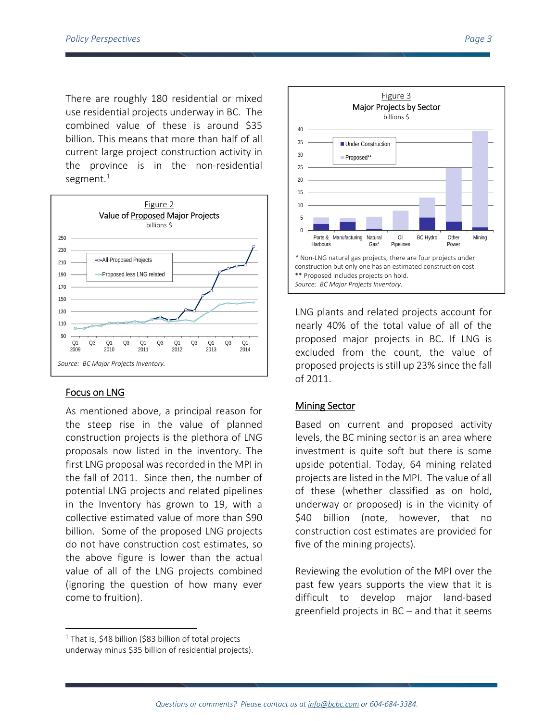There are roughly 180 residential or mixed use residential projects underway in BC. The combined value of these is around \$35 billion. This means that more than half of all current large project construction activity in the province is in the non‐residential segment. $1$ 



# Focus on LNG

As mentioned above, a principal reason for the steep rise in the value of planned construction projects is the plethora of LNG proposals now listed in the inventory. The first LNG proposal was recorded in the MPI in the fall of 2011. Since then, the number of potential LNG projects and related pipelines in the Inventory has grown to 19, with a collective estimated value of more than \$90 billion. Some of the proposed LNG projects do not have construction cost estimates, so the above figure is lower than the actual value of all of the LNG projects combined (ignoring the question of how many ever come to fruition).



LNG plants and related projects account for nearly 40% of the total value of all of the proposed major projects in BC. If LNG is excluded from the count, the value of proposed projects is still up 23% since the fall of 2011.

# Mining Sector

Based on current and proposed activity levels, the BC mining sector is an area where investment is quite soft but there is some upside potential. Today, 64 mining related projects are listed in the MPI. The value of all of these (whether classified as on hold, underway or proposed) is in the vicinity of \$40 billion (note, however, that no construction cost estimates are provided for five of the mining projects).

Reviewing the evolution of the MPI over the past few years supports the view that it is difficult to develop major land‐based greenfield projects in BC – and that it seems

 $1$  That is, \$48 billion (\$83 billion of total projects underway minus \$35 billion of residential projects).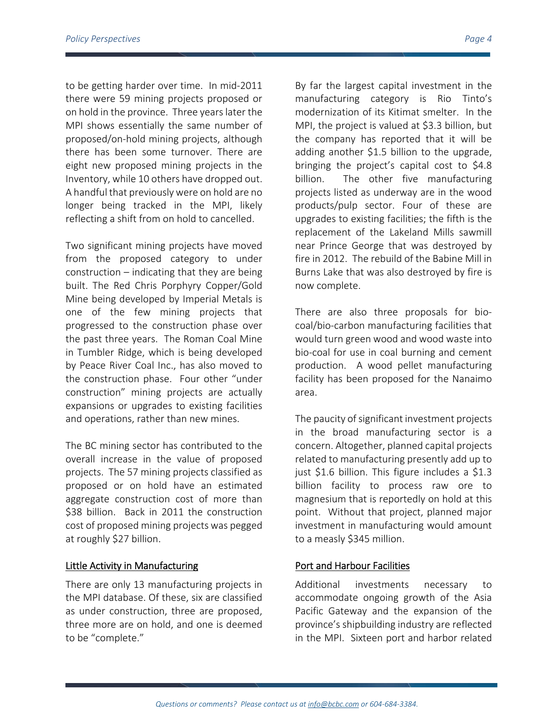to be getting harder over time. In mid‐2011 there were 59 mining projects proposed or on hold in the province. Three yearslater the MPI shows essentially the same number of proposed/on‐hold mining projects, although there has been some turnover. There are eight new proposed mining projects in the Inventory, while 10 others have dropped out. A handful that previously were on hold are no longer being tracked in the MPI, likely reflecting a shift from on hold to cancelled.

Two significant mining projects have moved from the proposed category to under construction – indicating that they are being built. The Red Chris Porphyry Copper/Gold Mine being developed by Imperial Metals is one of the few mining projects that progressed to the construction phase over the past three years. The Roman Coal Mine in Tumbler Ridge, which is being developed by Peace River Coal Inc., has also moved to the construction phase. Four other "under construction" mining projects are actually expansions or upgrades to existing facilities and operations, rather than new mines.

The BC mining sector has contributed to the overall increase in the value of proposed projects. The 57 mining projects classified as proposed or on hold have an estimated aggregate construction cost of more than \$38 billion. Back in 2011 the construction cost of proposed mining projects was pegged at roughly \$27 billion.

#### Little Activity in Manufacturing

There are only 13 manufacturing projects in the MPI database. Of these, six are classified as under construction, three are proposed, three more are on hold, and one is deemed to be "complete."

By far the largest capital investment in the manufacturing category is Rio Tinto's modernization of its Kitimat smelter. In the MPI, the project is valued at \$3.3 billion, but the company has reported that it will be adding another \$1.5 billion to the upgrade, bringing the project's capital cost to \$4.8 billion. The other five manufacturing projects listed as underway are in the wood products/pulp sector. Four of these are upgrades to existing facilities; the fifth is the replacement of the Lakeland Mills sawmill near Prince George that was destroyed by fire in 2012. The rebuild of the Babine Mill in Burns Lake that was also destroyed by fire is now complete.

There are also three proposals for bio‐ coal/bio‐carbon manufacturing facilities that would turn green wood and wood waste into bio‐coal for use in coal burning and cement production. A wood pellet manufacturing facility has been proposed for the Nanaimo area.

The paucity of significant investment projects in the broad manufacturing sector is a concern. Altogether, planned capital projects related to manufacturing presently add up to just \$1.6 billion. This figure includes a \$1.3 billion facility to process raw ore to magnesium that is reportedly on hold at this point. Without that project, planned major investment in manufacturing would amount to a measly \$345 million.

# Port and Harbour Facilities

Additional investments necessary to accommodate ongoing growth of the Asia Pacific Gateway and the expansion of the province's shipbuilding industry are reflected in the MPI. Sixteen port and harbor related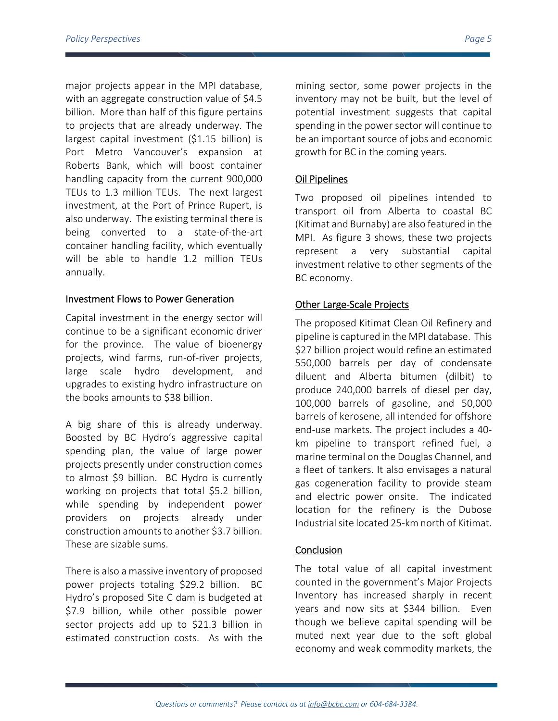major projects appear in the MPI database, with an aggregate construction value of \$4.5 billion. More than half of this figure pertains to projects that are already underway. The largest capital investment (\$1.15 billion) is Port Metro Vancouver's expansion at Roberts Bank, which will boost container handling capacity from the current 900,000 TEUs to 1.3 million TEUs. The next largest investment, at the Port of Prince Rupert, is also underway. The existing terminal there is being converted to a state‐of‐the‐art container handling facility, which eventually will be able to handle 1.2 million TEUs annually.

#### Investment Flows to Power Generation

Capital investment in the energy sector will continue to be a significant economic driver for the province. The value of bioenergy projects, wind farms, run‐of‐river projects, large scale hydro development, and upgrades to existing hydro infrastructure on the books amounts to \$38 billion.

A big share of this is already underway. Boosted by BC Hydro's aggressive capital spending plan, the value of large power projects presently under construction comes to almost \$9 billion. BC Hydro is currently working on projects that total \$5.2 billion, while spending by independent power providers on projects already under construction amounts to another \$3.7 billion. These are sizable sums.

There is also a massive inventory of proposed power projects totaling \$29.2 billion. BC Hydro's proposed Site C dam is budgeted at \$7.9 billion, while other possible power sector projects add up to \$21.3 billion in estimated construction costs. As with the

mining sector, some power projects in the inventory may not be built, but the level of potential investment suggests that capital spending in the power sector will continue to be an important source of jobs and economic growth for BC in the coming years.

# Oil Pipelines

Two proposed oil pipelines intended to transport oil from Alberta to coastal BC (Kitimat and Burnaby) are also featured in the MPI. As figure 3 shows, these two projects represent a very substantial capital investment relative to other segments of the BC economy.

# Other Large‐Scale Projects

The proposed Kitimat Clean Oil Refinery and pipeline is captured in the MPI database. This \$27 billion project would refine an estimated 550,000 barrels per day of condensate diluent and Alberta bitumen (dilbit) to produce 240,000 barrels of diesel per day, 100,000 barrels of gasoline, and 50,000 barrels of kerosene, all intended for offshore end‐use markets. The project includes a 40‐ km pipeline to transport refined fuel, a marine terminal on the Douglas Channel, and a fleet of tankers. It also envisages a natural gas cogeneration facility to provide steam and electric power onsite. The indicated location for the refinery is the Dubose Industrialsite located 25‐km north of Kitimat.

# **Conclusion**

The total value of all capital investment counted in the government's Major Projects Inventory has increased sharply in recent years and now sits at \$344 billion. Even though we believe capital spending will be muted next year due to the soft global economy and weak commodity markets, the